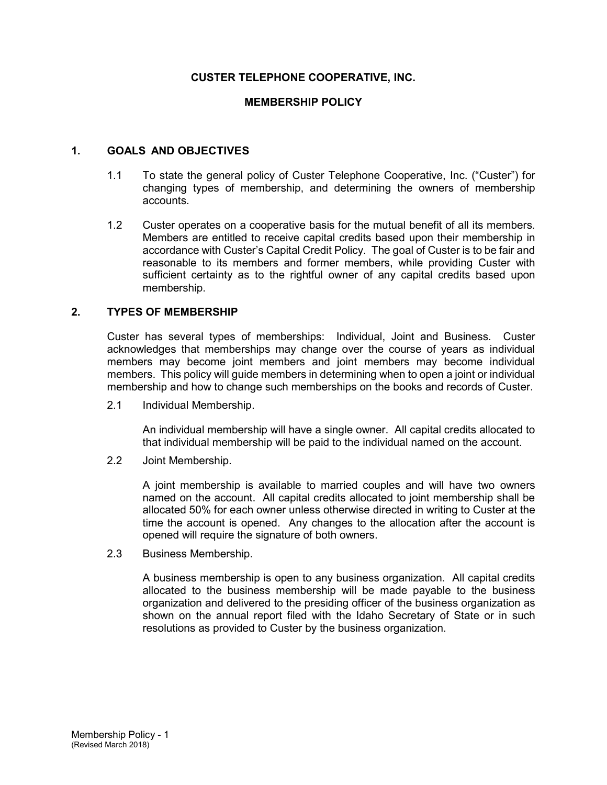### **CUSTER TELEPHONE COOPERATIVE, INC.**

#### **MEMBERSHIP POLICY**

#### **1. GOALS AND OBJECTIVES**

- 1.1 To state the general policy of Custer Telephone Cooperative, Inc. ("Custer") for changing types of membership, and determining the owners of membership accounts.
- 1.2 Custer operates on a cooperative basis for the mutual benefit of all its members. Members are entitled to receive capital credits based upon their membership in accordance with Custer's Capital Credit Policy. The goal of Custer is to be fair and reasonable to its members and former members, while providing Custer with sufficient certainty as to the rightful owner of any capital credits based upon membership.

#### **2. TYPES OF MEMBERSHIP**

Custer has several types of memberships: Individual, Joint and Business. Custer acknowledges that memberships may change over the course of years as individual members may become joint members and joint members may become individual members. This policy will guide members in determining when to open a joint or individual membership and how to change such memberships on the books and records of Custer.

2.1 Individual Membership.

An individual membership will have a single owner. All capital credits allocated to that individual membership will be paid to the individual named on the account.

2.2 Joint Membership.

A joint membership is available to married couples and will have two owners named on the account. All capital credits allocated to joint membership shall be allocated 50% for each owner unless otherwise directed in writing to Custer at the time the account is opened. Any changes to the allocation after the account is opened will require the signature of both owners.

2.3 Business Membership.

A business membership is open to any business organization. All capital credits allocated to the business membership will be made payable to the business organization and delivered to the presiding officer of the business organization as shown on the annual report filed with the Idaho Secretary of State or in such resolutions as provided to Custer by the business organization.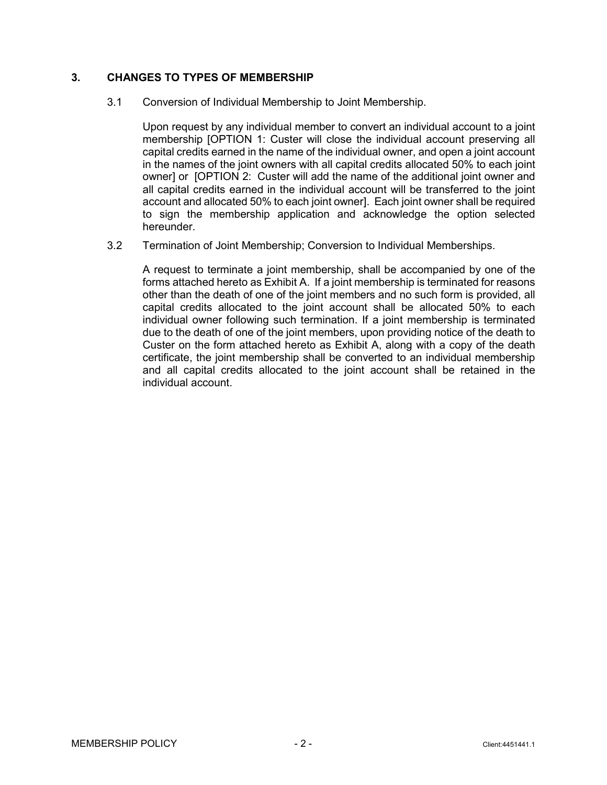### **3. CHANGES TO TYPES OF MEMBERSHIP**

3.1 Conversion of Individual Membership to Joint Membership.

Upon request by any individual member to convert an individual account to a joint membership [OPTION 1: Custer will close the individual account preserving all capital credits earned in the name of the individual owner, and open a joint account in the names of the joint owners with all capital credits allocated 50% to each joint owner] or [OPTION 2: Custer will add the name of the additional joint owner and all capital credits earned in the individual account will be transferred to the joint account and allocated 50% to each joint owner]. Each joint owner shall be required to sign the membership application and acknowledge the option selected hereunder.

3.2 Termination of Joint Membership; Conversion to Individual Memberships.

A request to terminate a joint membership, shall be accompanied by one of the forms attached hereto as Exhibit A. If a joint membership is terminated for reasons other than the death of one of the joint members and no such form is provided, all capital credits allocated to the joint account shall be allocated 50% to each individual owner following such termination. If a joint membership is terminated due to the death of one of the joint members, upon providing notice of the death to Custer on the form attached hereto as Exhibit A, along with a copy of the death certificate, the joint membership shall be converted to an individual membership and all capital credits allocated to the joint account shall be retained in the individual account.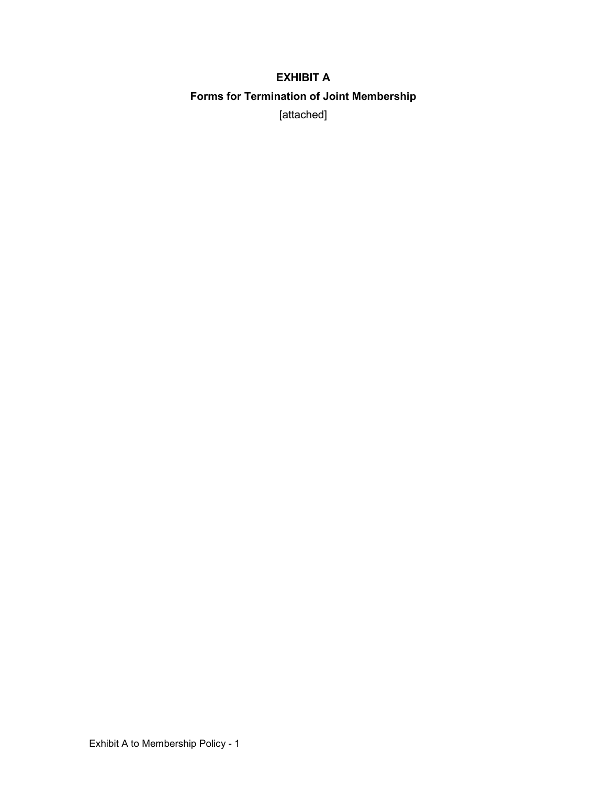# **EXHIBIT A Forms for Termination of Joint Membership** [attached]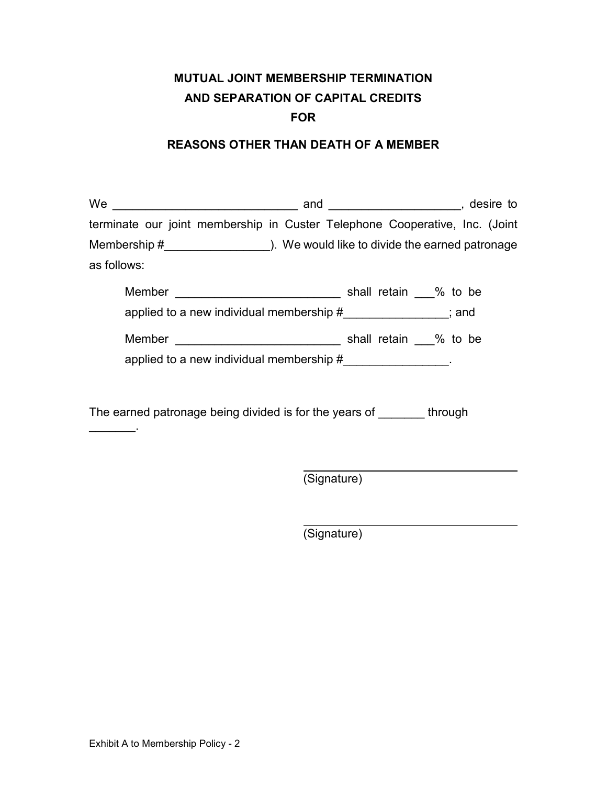# **MUTUAL JOINT MEMBERSHIP TERMINATION AND SEPARATION OF CAPITAL CREDITS FOR**

### **REASONS OTHER THAN DEATH OF A MEMBER**

| terminate our joint membership in Custer Telephone Cooperative, Inc. (Joint |  |
|-----------------------------------------------------------------------------|--|
| as follows:                                                                 |  |
| applied to a new individual membership $#$ ________________; and            |  |
| applied to a new individual membership #_________________.                  |  |
| The earned patronage being divided is for the years of through              |  |

(Signature)

(Signature)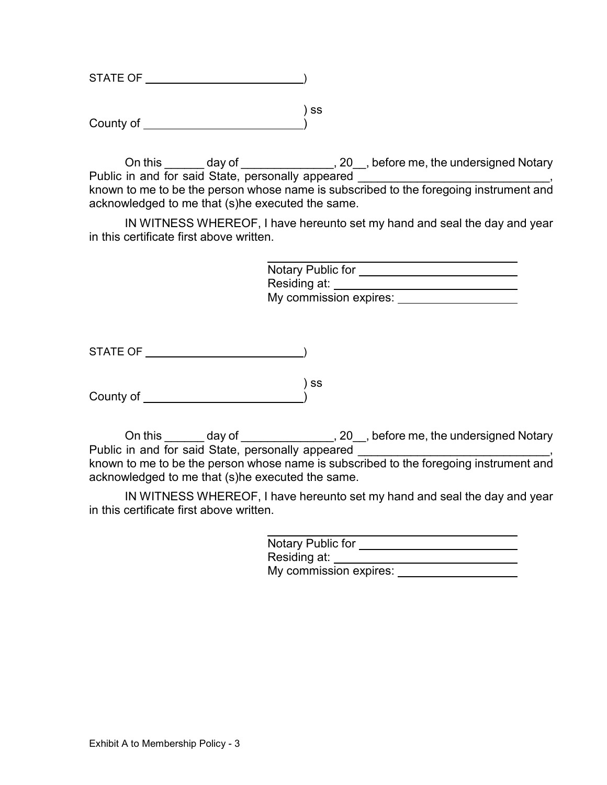| STATE OF  |    |
|-----------|----|
|           |    |
|           | SS |
| County of |    |
|           |    |

On this \_\_\_\_\_\_ day of \_\_\_\_\_\_\_\_\_\_\_\_\_\_\_, 20\_\_, before me, the undersigned Notary Public in and for said State, personally appeared known to me to be the person whose name is subscribed to the foregoing instrument and acknowledged to me that (s)he executed the same.

IN WITNESS WHEREOF, I have hereunto set my hand and seal the day and year in this certificate first above written.

| Notary Public for      |  |
|------------------------|--|
| Residing at:           |  |
| My commission expires: |  |

STATE OF <u>state of</u> the state of the state of the state of the state of the state of the state of the state of the state of the state of the state of the state of the state of the state of the state of the state of the sta

 ) ss County of )

On this \_\_\_\_\_\_ day of \_\_\_\_\_\_\_\_\_\_\_\_\_\_, 20\_\_, before me, the undersigned Notary Public in and for said State, personally appeared known to me to be the person whose name is subscribed to the foregoing instrument and acknowledged to me that (s)he executed the same.

IN WITNESS WHEREOF, I have hereunto set my hand and seal the day and year in this certificate first above written.

| Notary Public for      |  |
|------------------------|--|
| Residing at:           |  |
| My commission expires: |  |
|                        |  |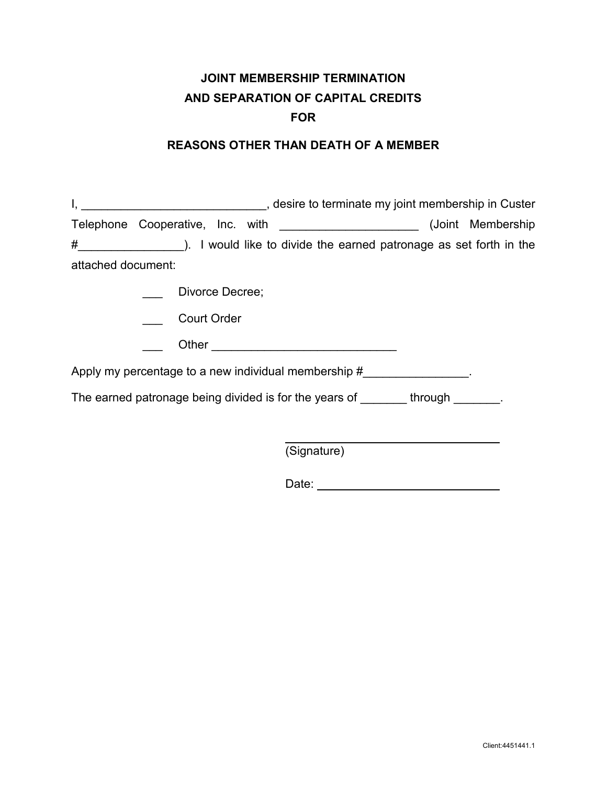### **JOINT MEMBERSHIP TERMINATION AND SEPARATION OF CAPITAL CREDITS FOR**

### **REASONS OTHER THAN DEATH OF A MEMBER**

| $\mathsf{I},$      | desire to terminate my joint membership in Custer (3) and the membership of the context of the context of the context of the context of the context of the context of the context of the context of the context of the context |
|--------------------|--------------------------------------------------------------------------------------------------------------------------------------------------------------------------------------------------------------------------------|
|                    | Telephone Cooperative, Inc. with _________________________(Joint Membership                                                                                                                                                    |
| #                  | ). I would like to divide the earned patronage as set forth in the                                                                                                                                                             |
| attached document: |                                                                                                                                                                                                                                |
|                    | Divorce Decree;                                                                                                                                                                                                                |
|                    | <b>Court Order</b>                                                                                                                                                                                                             |
|                    |                                                                                                                                                                                                                                |
|                    | Apply my percentage to a new individual membership $#$                                                                                                                                                                         |
|                    | The earned patronage being divided is for the years of through through                                                                                                                                                         |
|                    |                                                                                                                                                                                                                                |
|                    | (Signature)                                                                                                                                                                                                                    |
|                    |                                                                                                                                                                                                                                |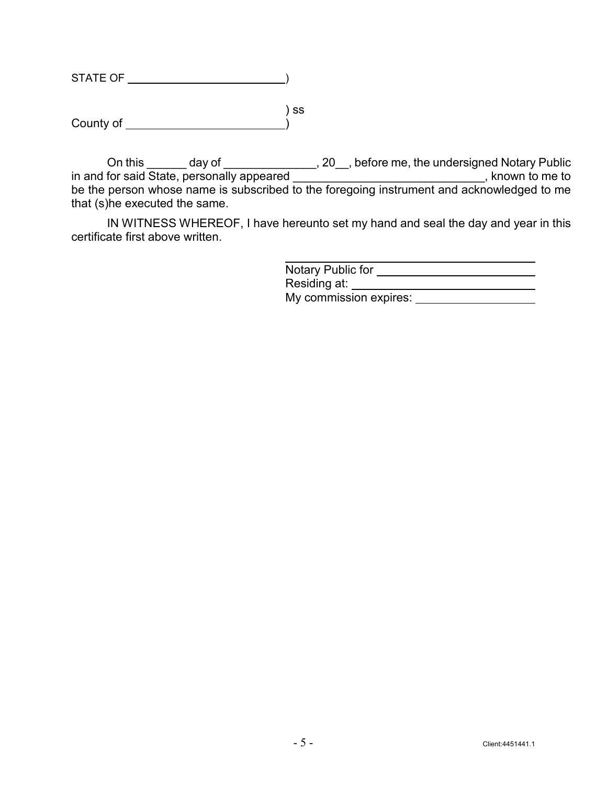| <b>STATE OF</b> |    |
|-----------------|----|
|                 |    |
|                 | SS |
| County of       |    |

On this \_\_\_\_\_\_\_ day of \_\_\_\_\_\_\_\_\_\_\_\_\_\_\_\_, 20\_\_, before me, the undersigned Notary Public in and for said State, personally appeared \_\_\_\_\_\_\_\_\_\_\_\_\_\_\_\_\_\_\_\_\_\_\_\_\_\_\_\_\_\_\_, known to me to be the person whose name is subscribed to the foregoing instrument and acknowledged to me that (s)he executed the same.

IN WITNESS WHEREOF, I have hereunto set my hand and seal the day and year in this certificate first above written.

| Notary Public for      |  |
|------------------------|--|
| Residing at:           |  |
| My commission expires: |  |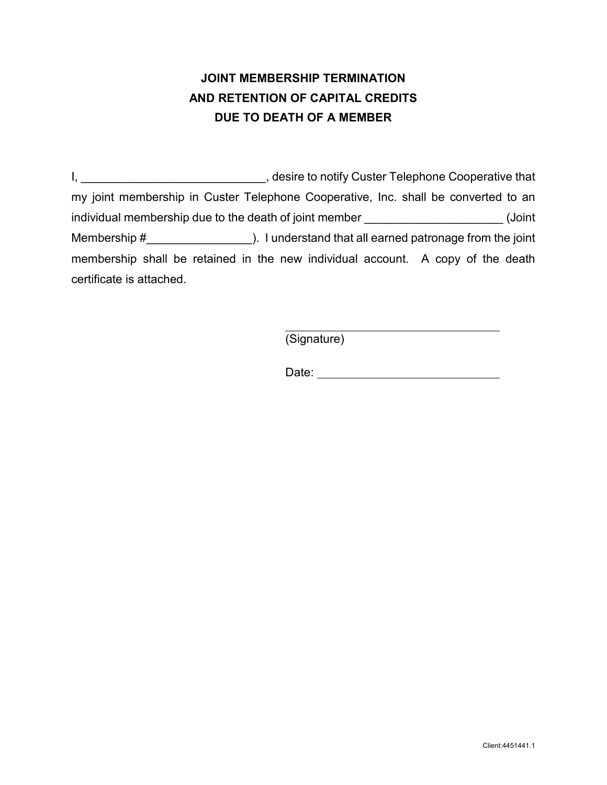# **JOINT MEMBERSHIP TERMINATION AND RETENTION OF CAPITAL CREDITS DUE TO DEATH OF A MEMBER**

I, \_\_\_\_\_\_\_\_\_\_\_\_\_\_\_\_\_\_\_\_\_\_\_\_\_\_\_\_\_\_\_\_\_, desire to notify Custer Telephone Cooperative that my joint membership in Custer Telephone Cooperative, Inc. shall be converted to an individual membership due to the death of joint member \_\_\_\_\_\_\_\_\_\_\_\_\_\_\_\_\_\_\_\_\_\_\_\_(Joint Membership #\_\_\_\_\_\_\_\_\_\_\_\_\_\_\_\_). I understand that all earned patronage from the joint membership shall be retained in the new individual account. A copy of the death certificate is attached.

(Signature)

Date: **Date: Date: Date: Date: Date: Date: Date: Date: Date: Date: Date: Date: Date: Date: Date: Date: Date: Date: Date: Date: Date: Date: Date: Date: Date: Date: Date:**